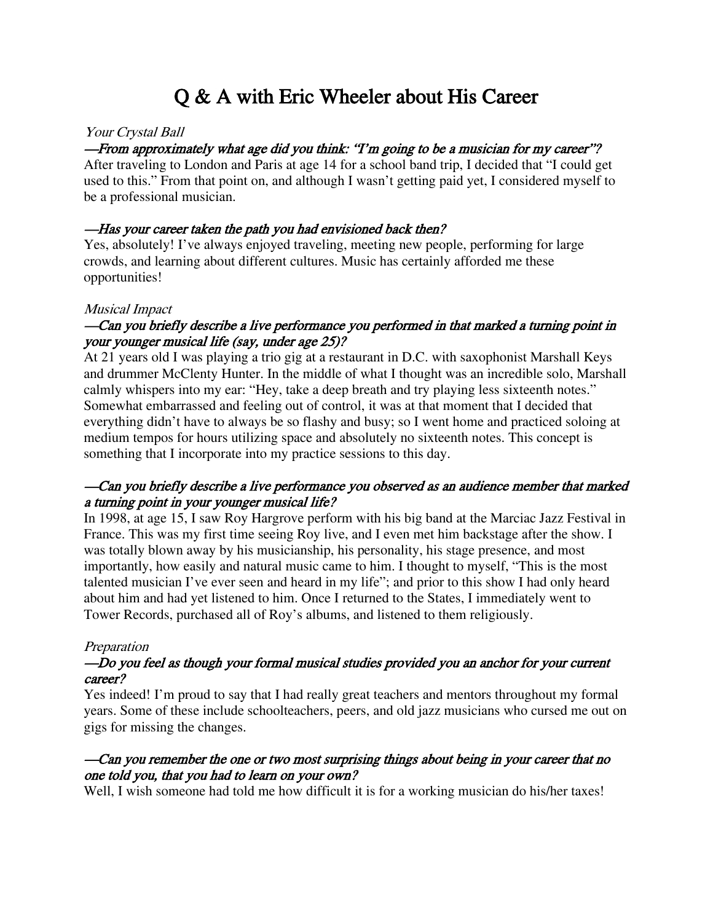# Q & A with Eric Wheeler about His Career

# Your Crystal Ball

# —From approximately what age did you think: "I'm going to be a musician for my career"?

After traveling to London and Paris at age 14 for a school band trip, I decided that "I could get used to this." From that point on, and although I wasn't getting paid yet, I considered myself to be a professional musician.

## —Has your career taken the path you had envisioned back then?

Yes, absolutely! I've always enjoyed traveling, meeting new people, performing for large crowds, and learning about different cultures. Music has certainly afforded me these opportunities!

## Musical Impact

# —Can you briefly describe a live performance you performed in that marked a turning point in your younger musical life (say, under age 25)?

At 21 years old I was playing a trio gig at a restaurant in D.C. with saxophonist Marshall Keys and drummer McClenty Hunter. In the middle of what I thought was an incredible solo, Marshall calmly whispers into my ear: "Hey, take a deep breath and try playing less sixteenth notes." Somewhat embarrassed and feeling out of control, it was at that moment that I decided that everything didn't have to always be so flashy and busy; so I went home and practiced soloing at medium tempos for hours utilizing space and absolutely no sixteenth notes. This concept is something that I incorporate into my practice sessions to this day.

# —Can you briefly describe a live performance you observed as an audience member that marked a turning point in your younger musical life?

In 1998, at age 15, I saw Roy Hargrove perform with his big band at the Marciac Jazz Festival in France. This was my first time seeing Roy live, and I even met him backstage after the show. I was totally blown away by his musicianship, his personality, his stage presence, and most importantly, how easily and natural music came to him. I thought to myself, "This is the most talented musician I've ever seen and heard in my life"; and prior to this show I had only heard about him and had yet listened to him. Once I returned to the States, I immediately went to Tower Records, purchased all of Roy's albums, and listened to them religiously.

## **Preparation**

# —Do you feel as though your formal musical studies provided you an anchor for your current career?

Yes indeed! I'm proud to say that I had really great teachers and mentors throughout my formal years. Some of these include schoolteachers, peers, and old jazz musicians who cursed me out on gigs for missing the changes.

# —Can you remember the one or two most surprising things about being in your career that no one told you, that you had to learn on your own?

Well, I wish someone had told me how difficult it is for a working musician do his/her taxes!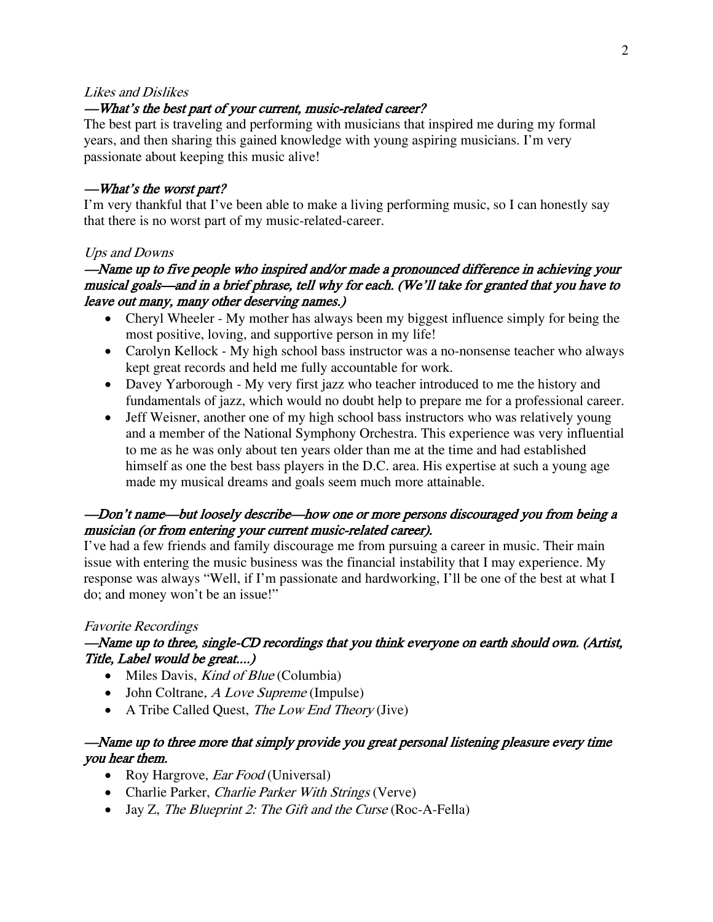#### Likes and Dislikes

## —What's the best part of your current, music-related career?

The best part is traveling and performing with musicians that inspired me during my formal years, and then sharing this gained knowledge with young aspiring musicians. I'm very passionate about keeping this music alive!

#### —What's the worst part?

I'm very thankful that I've been able to make a living performing music, so I can honestly say that there is no worst part of my music-related-career.

## Ups and Downs

# —Name up to five people who inspired and/or made a pronounced difference in achieving your musical goals—and in a brief phrase, tell why for each. (We'll take for granted that you have to leave out many, many other deserving names.)

- Cheryl Wheeler My mother has always been my biggest influence simply for being the most positive, loving, and supportive person in my life!
- Carolyn Kellock My high school bass instructor was a no-nonsense teacher who always kept great records and held me fully accountable for work.
- Davey Yarborough My very first jazz who teacher introduced to me the history and fundamentals of jazz, which would no doubt help to prepare me for a professional career.
- Jeff Weisner, another one of my high school bass instructors who was relatively young and a member of the National Symphony Orchestra. This experience was very influential to me as he was only about ten years older than me at the time and had established himself as one the best bass players in the D.C. area. His expertise at such a young age made my musical dreams and goals seem much more attainable.

# —Don't name—but loosely describe—how one or more persons discouraged you from being a musician (or from entering your current music-related career).

I've had a few friends and family discourage me from pursuing a career in music. Their main issue with entering the music business was the financial instability that I may experience. My response was always "Well, if I'm passionate and hardworking, I'll be one of the best at what I do; and money won't be an issue!"

## Favorite Recordings

## —Name up to three, single-CD recordings that you think everyone on earth should own. (Artist, Title, Label would be great....)

- Miles Davis, *Kind of Blue* (Columbia)
- John Coltrane,  $A \text{ Love Supreme (Impulse)}$
- A Tribe Called Quest, The Low End Theory (Jive)

## —Name up to three more that simply provide you great personal listening pleasure every time you hear them.

- Roy Hargrove, *Ear Food* (Universal)
- Charlie Parker, *Charlie Parker With Strings* (Verve)
- Jay Z, The Blueprint 2: The Gift and the Curse (Roc-A-Fella)